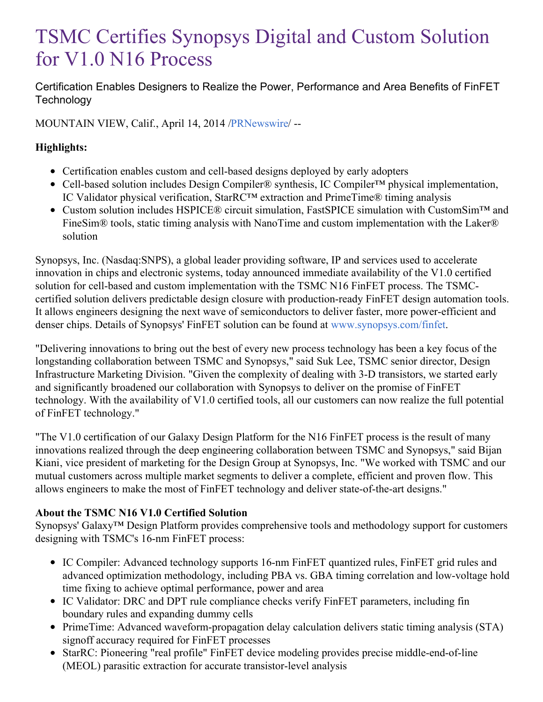# TSMC Certifies Synopsys Digital and Custom Solution for V1.0 N16 Process

Certification Enables Designers to Realize the Power, Performance and Area Benefits of FinFET **Technology** 

MOUNTAIN VIEW, Calif., April 14, 2014 [/PRNewswire](http://www.prnewswire.com/)/ --

## **Highlights:**

- Certification enables custom and cell-based designs deployed by early adopters
- Cell-based solution includes Design Compiler® synthesis, IC Compiler™ physical implementation, IC Validator physical verification, StarRC™ extraction and PrimeTime® timing analysis
- Custom solution includes HSPICE® circuit simulation, FastSPICE simulation with CustomSim™ and FineSim® tools, static timing analysis with NanoTime and custom implementation with the Laker® solution

Synopsys, Inc. (Nasdaq:SNPS), a global leader providing software, IP and services used to accelerate innovation in chips and electronic systems, today announced immediate availability of the V1.0 certified solution for cell-based and custom implementation with the TSMC N16 FinFET process. The TSMCcertified solution delivers predictable design closure with production-ready FinFET design automation tools. It allows engineers designing the next wave of semiconductors to deliver faster, more power-efficient and denser chips. Details of Synopsys' FinFET solution can be found at [www.synopsys.com/finfet](http://www.synopsys.com/finfet).

"Delivering innovations to bring out the best of every new process technology has been a key focus of the longstanding collaboration between TSMC and Synopsys," said Suk Lee, TSMC senior director, Design Infrastructure Marketing Division. "Given the complexity of dealing with 3-D transistors, we started early and significantly broadened our collaboration with Synopsys to deliver on the promise of FinFET technology. With the availability of V1.0 certified tools, all our customers can now realize the full potential of FinFET technology."

"The V1.0 certification of our Galaxy Design Platform for the N16 FinFET process is the result of many innovations realized through the deep engineering collaboration between TSMC and Synopsys," said Bijan Kiani, vice president of marketing for the Design Group at Synopsys, Inc. "We worked with TSMC and our mutual customers across multiple market segments to deliver a complete, efficient and proven flow. This allows engineers to make the most of FinFET technology and deliver state-of-the-art designs."

## **About the TSMC N16 V1.0 Certified Solution**

Synopsys' Galaxy<sup>™</sup> Design Platform provides comprehensive tools and methodology support for customers designing with TSMC's 16-nm FinFET process:

- IC Compiler: Advanced technology supports 16-nm FinFET quantized rules, FinFET grid rules and advanced optimization methodology, including PBA vs. GBA timing correlation and low-voltage hold time fixing to achieve optimal performance, power and area
- IC Validator: DRC and DPT rule compliance checks verify FinFET parameters, including fin boundary rules and expanding dummy cells
- PrimeTime: Advanced waveform-propagation delay calculation delivers static timing analysis (STA) signoff accuracy required for FinFET processes
- StarRC: Pioneering "real profile" FinFET device modeling provides precise middle-end-of-line (MEOL) parasitic extraction for accurate transistor-level analysis